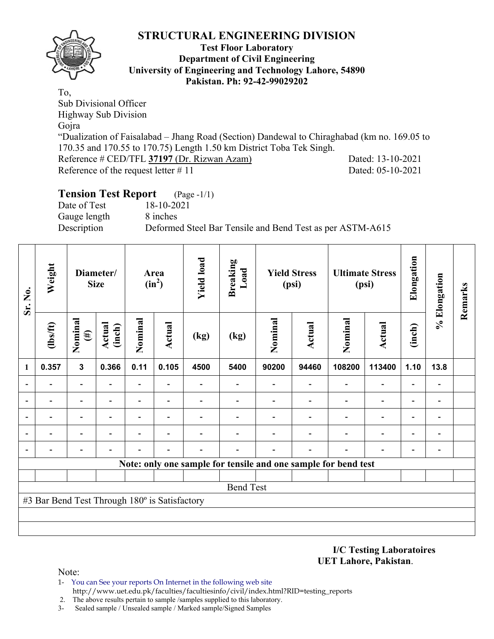

#### **Test Floor Laboratory Department of Civil Engineering University of Engineering and Technology Lahore, 54890 Pakistan. Ph: 92-42-99029202**

To, Sub Divisional Officer Highway Sub Division Gojra "Dualization of Faisalabad – Jhang Road (Section) Dandewal to Chiraghabad (km no. 169.05 to 170.35 and 170.55 to 170.75) Length 1.50 km District Toba Tek Singh. Reference # CED/TFL **37197** (Dr. Rizwan Azam) Dated: 13-10-2021 Reference of the request letter # 11 Dated: 05-10-2021

## **Tension Test Report** (Page -1/1)

Date of Test 18-10-2021 Gauge length 8 inches Description Deformed Steel Bar Tensile and Bend Test as per ASTM-A615

| Sr. No.        | Weight                                        | Diameter/<br><b>Size</b> |                          | Area<br>$(in^2)$         |                          | <b>Yield load</b> | <b>Breaking</b><br>Load                                        | <b>Yield Stress</b><br>(psi) |                          |                | <b>Ultimate Stress</b><br>(psi) | Elongation               | % Elongation                 | Remarks |
|----------------|-----------------------------------------------|--------------------------|--------------------------|--------------------------|--------------------------|-------------------|----------------------------------------------------------------|------------------------------|--------------------------|----------------|---------------------------------|--------------------------|------------------------------|---------|
|                | $\frac{2}{10}$                                | Nominal<br>$(\#)$        | Actual<br>(inch)         | Nominal                  | <b>Actual</b>            | (kg)              | (kg)                                                           | Nominal                      | <b>Actual</b>            | Nominal        | <b>Actual</b>                   | (inch)                   |                              |         |
| $\mathbf{1}$   | 0.357                                         | $\mathbf{3}$             | 0.366                    | 0.11                     | 0.105                    | 4500              | 5400                                                           | 90200                        | 94460                    | 108200         | 113400                          | 1.10                     | 13.8                         |         |
|                |                                               | $\blacksquare$           | Ξ.                       | $\blacksquare$           | Ξ.                       |                   |                                                                |                              | $\overline{\phantom{0}}$ | $\blacksquare$ | Ξ.                              | Ξ.                       | $\qquad \qquad \blacksquare$ |         |
|                |                                               | $\overline{\phantom{0}}$ | $\overline{\phantom{0}}$ | $\overline{\phantom{a}}$ | $\overline{\phantom{0}}$ |                   |                                                                | $\overline{\phantom{0}}$     | $\overline{\phantom{0}}$ |                | -                               | $\overline{a}$           | -                            |         |
|                |                                               |                          | $\overline{\phantom{0}}$ |                          | -                        |                   |                                                                |                              |                          |                | $\overline{\phantom{0}}$        | $\overline{\phantom{0}}$ |                              |         |
| $\blacksquare$ |                                               |                          | $\overline{\phantom{0}}$ |                          | $\overline{\phantom{0}}$ |                   |                                                                |                              |                          | -              | -                               | -                        | -                            |         |
| $\blacksquare$ |                                               |                          | $\overline{\phantom{0}}$ |                          | -                        |                   |                                                                |                              | $\overline{\phantom{0}}$ |                | $\overline{\phantom{0}}$        | $\overline{\phantom{0}}$ | $\qquad \qquad \blacksquare$ |         |
|                |                                               |                          |                          |                          |                          |                   | Note: only one sample for tensile and one sample for bend test |                              |                          |                |                                 |                          |                              |         |
|                |                                               |                          |                          |                          |                          |                   |                                                                |                              |                          |                |                                 |                          |                              |         |
|                |                                               |                          |                          |                          |                          |                   | <b>Bend Test</b>                                               |                              |                          |                |                                 |                          |                              |         |
|                | #3 Bar Bend Test Through 180° is Satisfactory |                          |                          |                          |                          |                   |                                                                |                              |                          |                |                                 |                          |                              |         |
|                |                                               |                          |                          |                          |                          |                   |                                                                |                              |                          |                |                                 |                          |                              |         |
|                |                                               |                          |                          |                          |                          |                   |                                                                |                              |                          |                |                                 |                          |                              |         |
|                |                                               |                          |                          |                          |                          |                   |                                                                |                              |                          |                |                                 |                          |                              |         |

**I/C Testing Laboratoires UET Lahore, Pakistan**.

- 1- You can See your reports On Internet in the following web site http://www.uet.edu.pk/faculties/facultiesinfo/civil/index.html?RID=testing\_reports
- 2. The above results pertain to sample /samples supplied to this laboratory.
- 3- Sealed sample / Unsealed sample / Marked sample/Signed Samples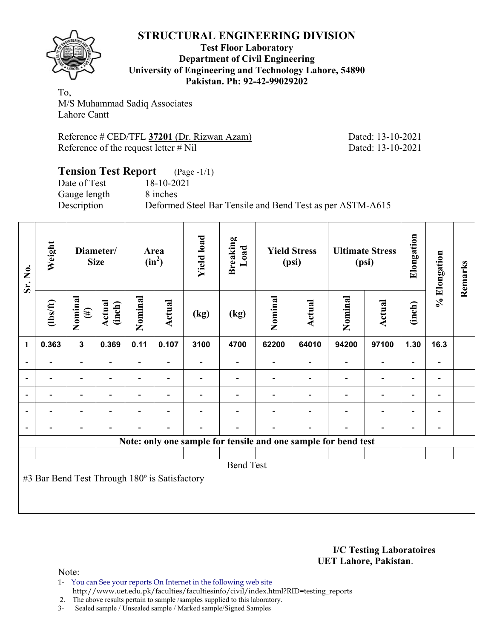

#### **Test Floor Laboratory Department of Civil Engineering University of Engineering and Technology Lahore, 54890 Pakistan. Ph: 92-42-99029202**

To, M/S Muhammad Sadiq Associates Lahore Cantt

Reference # CED/TFL **37201** (Dr. Rizwan Azam) Dated: 13-10-2021 Reference of the request letter # Nil Dated: 13-10-2021

### **Tension Test Report** (Page -1/1) Date of Test 18-10-2021<br>Gauge length 8 inches Gauge length Description Deformed Steel Bar Tensile and Bend Test as per ASTM-A615

| Sr. No.                  | Weight                                        | Diameter/<br><b>Size</b> |                  | Area<br>$(in^2)$         |                          | <b>Yield load</b> | <b>Breaking</b><br>Load                                        | <b>Yield Stress</b><br>(psi) |               | <b>Ultimate Stress</b><br>(psi) |               | Elongation | % Elongation | Remarks |
|--------------------------|-----------------------------------------------|--------------------------|------------------|--------------------------|--------------------------|-------------------|----------------------------------------------------------------|------------------------------|---------------|---------------------------------|---------------|------------|--------------|---------|
|                          | $\frac{2}{10}$                                | Nominal<br>$(\#)$        | Actual<br>(inch) | Nominal                  | Actual                   | (kg)              | (kg)                                                           | Nominal                      | <b>Actual</b> | Nominal                         | <b>Actual</b> | (inch)     |              |         |
| $\mathbf{1}$             | 0.363                                         | $\mathbf{3}$             | 0.369            | 0.11                     | 0.107                    | 3100              | 4700                                                           | 62200                        | 64010         | 94200                           | 97100         | 1.30       | 16.3         |         |
| $\blacksquare$           | $\blacksquare$                                | $\overline{\phantom{a}}$ |                  | $\overline{\phantom{0}}$ | $\overline{\phantom{a}}$ |                   | $\overline{\phantom{0}}$                                       |                              |               | $\blacksquare$                  |               |            | -            |         |
|                          |                                               |                          |                  |                          |                          |                   |                                                                |                              |               |                                 |               |            | -            |         |
|                          |                                               |                          |                  |                          |                          |                   |                                                                |                              |               |                                 |               |            | -            |         |
| $\overline{\phantom{0}}$ |                                               | -                        |                  |                          | $\overline{\phantom{a}}$ |                   |                                                                |                              |               |                                 |               | ۰          | -            |         |
| $\overline{\phantom{0}}$ |                                               |                          |                  |                          |                          |                   |                                                                |                              |               |                                 |               |            | -            |         |
|                          |                                               |                          |                  |                          |                          |                   | Note: only one sample for tensile and one sample for bend test |                              |               |                                 |               |            |              |         |
|                          |                                               |                          |                  |                          |                          |                   |                                                                |                              |               |                                 |               |            |              |         |
|                          | <b>Bend Test</b>                              |                          |                  |                          |                          |                   |                                                                |                              |               |                                 |               |            |              |         |
|                          | #3 Bar Bend Test Through 180° is Satisfactory |                          |                  |                          |                          |                   |                                                                |                              |               |                                 |               |            |              |         |
|                          |                                               |                          |                  |                          |                          |                   |                                                                |                              |               |                                 |               |            |              |         |
|                          |                                               |                          |                  |                          |                          |                   |                                                                |                              |               |                                 |               |            |              |         |

**I/C Testing Laboratoires UET Lahore, Pakistan**.

Note:

1- You can See your reports On Internet in the following web site http://www.uet.edu.pk/faculties/facultiesinfo/civil/index.html?RID=testing\_reports

2. The above results pertain to sample /samples supplied to this laboratory.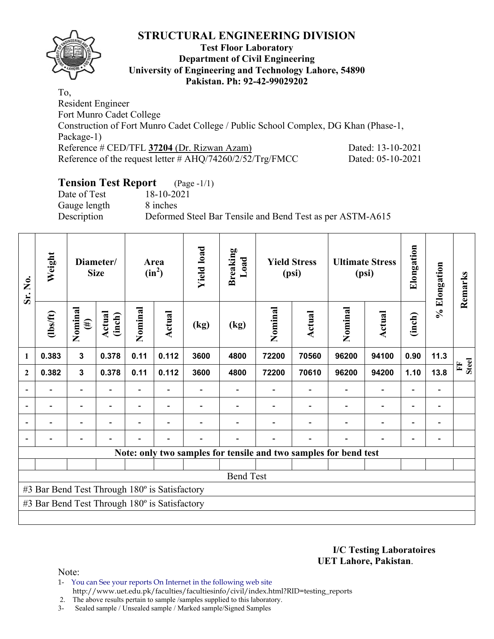

### **Test Floor Laboratory Department of Civil Engineering University of Engineering and Technology Lahore, 54890 Pakistan. Ph: 92-42-99029202**

To, Resident Engineer Fort Munro Cadet College Construction of Fort Munro Cadet College / Public School Complex, DG Khan (Phase-1, Package-1) Reference # CED/TFL **37204** (Dr. Rizwan Azam) Dated: 13-10-2021 Reference of the request letter # AHQ/74260/2/52/Trg/FMCC Dated: 05-10-2021

## **Tension Test Report** (Page -1/1)

Date of Test 18-10-2021 Gauge length 8 inches

Description Deformed Steel Bar Tensile and Bend Test as per ASTM-A615

| Sr. No.                  | Weight                                        | Diameter/<br><b>Size</b> |                  |                          | Area<br>$(in^2)$ |      | <b>Breaking</b><br>Load                                          | <b>Yield Stress</b><br>(psi) |               | <b>Ultimate Stress</b><br>(psi) |               | Elongation               | % Elongation             | Remarks           |
|--------------------------|-----------------------------------------------|--------------------------|------------------|--------------------------|------------------|------|------------------------------------------------------------------|------------------------------|---------------|---------------------------------|---------------|--------------------------|--------------------------|-------------------|
|                          | $\frac{2}{10}$                                | Nominal<br>$(\#)$        | Actual<br>(inch) | Nominal                  | Actual           | (kg) | (kg)                                                             | Nominal                      | <b>Actual</b> | Nominal                         | <b>Actual</b> | (inch)                   |                          |                   |
| $\mathbf{1}$             | 0.383                                         | $\mathbf{3}$             | 0.378            | 0.11                     | 0.112            | 3600 | 4800                                                             | 72200                        | 70560         | 96200                           | 94100         | 0.90                     | 11.3                     |                   |
| $\overline{2}$           | 0.382                                         | $\mathbf{3}$             | 0.378            | 0.11                     | 0.112            | 3600 | 4800                                                             | 72200                        | 70610         | 96200                           | 94200         | 1.10                     | 13.8                     | <b>Steel</b><br>E |
| $\blacksquare$           | $\overline{\phantom{0}}$                      | $\overline{\phantom{a}}$ |                  | $\overline{\phantom{0}}$ |                  |      |                                                                  |                              |               |                                 |               |                          | $\overline{\phantom{0}}$ |                   |
| $\overline{\phantom{0}}$ |                                               | $\overline{\phantom{0}}$ |                  |                          |                  |      |                                                                  |                              |               |                                 |               | $\overline{\phantom{0}}$ | -                        |                   |
|                          |                                               |                          |                  |                          |                  |      |                                                                  |                              |               |                                 |               |                          | $\overline{\phantom{0}}$ |                   |
| $\blacksquare$           |                                               |                          |                  |                          |                  |      |                                                                  |                              |               |                                 |               |                          | -                        |                   |
|                          |                                               |                          |                  |                          |                  |      | Note: only two samples for tensile and two samples for bend test |                              |               |                                 |               |                          |                          |                   |
|                          |                                               |                          |                  |                          |                  |      |                                                                  |                              |               |                                 |               |                          |                          |                   |
|                          | <b>Bend Test</b>                              |                          |                  |                          |                  |      |                                                                  |                              |               |                                 |               |                          |                          |                   |
|                          | #3 Bar Bend Test Through 180° is Satisfactory |                          |                  |                          |                  |      |                                                                  |                              |               |                                 |               |                          |                          |                   |
|                          | #3 Bar Bend Test Through 180° is Satisfactory |                          |                  |                          |                  |      |                                                                  |                              |               |                                 |               |                          |                          |                   |
|                          |                                               |                          |                  |                          |                  |      |                                                                  |                              |               |                                 |               |                          |                          |                   |

#### **I/C Testing Laboratoires UET Lahore, Pakistan**.

Note:

1- You can See your reports On Internet in the following web site http://www.uet.edu.pk/faculties/facultiesinfo/civil/index.html?RID=testing\_reports

2. The above results pertain to sample /samples supplied to this laboratory.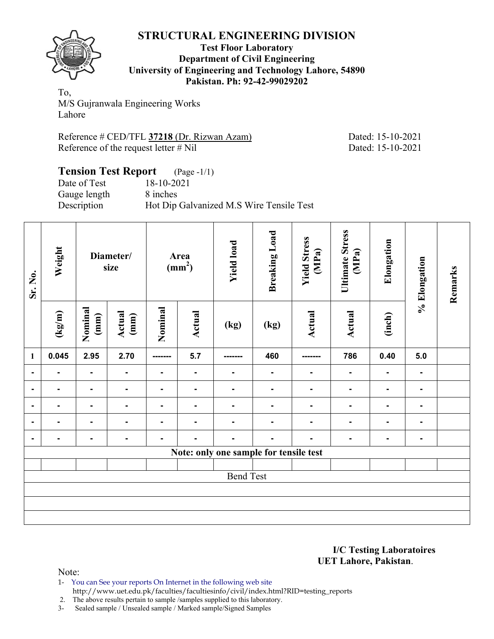

**Test Floor Laboratory Department of Civil Engineering University of Engineering and Technology Lahore, 54890 Pakistan. Ph: 92-42-99029202** 

To, M/S Gujranwala Engineering Works Lahore

Reference # CED/TFL **37218** (Dr. Rizwan Azam) Dated: 15-10-2021 Reference of the request letter # Nil Dated: 15-10-2021

# **Tension Test Report** (Page -1/1)

Date of Test 18-10-2021 Gauge length 8 inches

Description Hot Dip Galvanized M.S Wire Tensile Test

| Sr. No.        | Weight<br>Diameter/<br>size |                                            | Area<br>(mm <sup>2</sup> ) |                | <b>Yield load</b> | <b>Breaking Load</b>                   | <b>Yield Stress</b><br>(MPa) | <b>Ultimate Stress</b><br>(MPa) | Elongation     | % Elongation   | Remarks        |  |  |
|----------------|-----------------------------|--------------------------------------------|----------------------------|----------------|-------------------|----------------------------------------|------------------------------|---------------------------------|----------------|----------------|----------------|--|--|
|                | $(\text{kg/m})$             | Nominal<br>Actual<br>(mm)<br>$(\text{mm})$ |                            | Nominal        | Actual            | (kg)                                   |                              | Actual                          | <b>Actual</b>  | (inch)         |                |  |  |
| $\mathbf{1}$   | 0.045                       | 2.95                                       | 2.70                       | -------        | 5.7               | -------                                | 460                          | -------                         | 786            | 0.40           | 5.0            |  |  |
| $\blacksquare$ | ۰                           | $\blacksquare$                             | ۰                          | $\blacksquare$ | $\blacksquare$    | $\blacksquare$                         | $\blacksquare$               | ۰                               | $\blacksquare$ | ٠.             | $\blacksquare$ |  |  |
| $\blacksquare$ |                             | $\blacksquare$                             | $\blacksquare$             |                |                   | ۰                                      |                              |                                 |                | $\blacksquare$ | ۰              |  |  |
| ۰              |                             | ۰.                                         | $\blacksquare$             | $\blacksquare$ |                   | ۰                                      |                              |                                 |                | ۰              | $\blacksquare$ |  |  |
| $\blacksquare$ |                             | $\blacksquare$                             | $\blacksquare$             |                |                   |                                        |                              |                                 |                | Ξ.             | ۰              |  |  |
|                |                             | $\blacksquare$                             | $\blacksquare$             |                |                   |                                        |                              |                                 |                | ۰              | $\blacksquare$ |  |  |
|                |                             |                                            |                            |                |                   | Note: only one sample for tensile test |                              |                                 |                |                |                |  |  |
|                |                             |                                            |                            |                |                   |                                        |                              |                                 |                |                |                |  |  |
|                |                             |                                            |                            |                |                   | <b>Bend Test</b>                       |                              |                                 |                |                |                |  |  |
|                |                             |                                            |                            |                |                   |                                        |                              |                                 |                |                |                |  |  |
|                |                             |                                            |                            |                |                   |                                        |                              |                                 |                |                |                |  |  |
|                |                             |                                            |                            |                |                   |                                        |                              |                                 |                |                |                |  |  |

**I/C Testing Laboratoires UET Lahore, Pakistan**.

Note:

1- You can See your reports On Internet in the following web site http://www.uet.edu.pk/faculties/facultiesinfo/civil/index.html?RID=testing\_reports

2. The above results pertain to sample /samples supplied to this laboratory.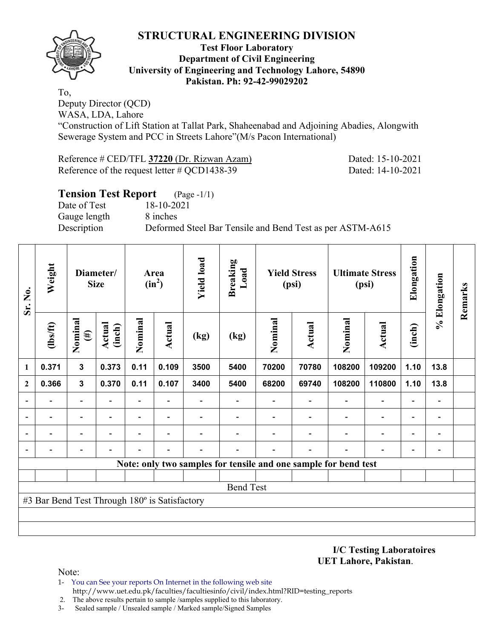

#### **Test Floor Laboratory Department of Civil Engineering University of Engineering and Technology Lahore, 54890 Pakistan. Ph: 92-42-99029202**

To, Deputy Director (QCD) WASA, LDA, Lahore

"Construction of Lift Station at Tallat Park, Shaheenabad and Adjoining Abadies, Alongwith Sewerage System and PCC in Streets Lahore"(M/s Pacon International)

Reference # CED/TFL **37220** (Dr. Rizwan Azam) Dated: 15-10-2021 Reference of the request letter # QCD1438-39 Dated: 14-10-2021

### **Tension Test Report** (Page -1/1) Date of Test 18-10-2021 Gauge length 8 inches Description Deformed Steel Bar Tensile and Bend Test as per ASTM-A615

| Sr. No.                  | Weight<br>Diameter/<br><b>Size</b>            |                          | Area<br>$(in^2)$        |                          | <b>Yield load</b>        | <b>Breaking</b><br>Load | <b>Yield Stress</b><br>(psi)                                    |         | <b>Ultimate Stress</b><br>(psi) |         | Elongation               | % Elongation             | Remarks                  |  |
|--------------------------|-----------------------------------------------|--------------------------|-------------------------|--------------------------|--------------------------|-------------------------|-----------------------------------------------------------------|---------|---------------------------------|---------|--------------------------|--------------------------|--------------------------|--|
|                          | (1bs/ft)                                      | Nominal<br>$(\#)$        | <b>Actual</b><br>(inch) | Nominal                  | Actual                   | (kg)                    | (kg)                                                            | Nominal | <b>Actual</b>                   | Nominal | Actual                   | (inch)                   |                          |  |
| 1                        | 0.371                                         | $\mathbf{3}$             | 0.373                   | 0.11                     | 0.109                    | 3500                    | 5400                                                            | 70200   | 70780                           | 108200  | 109200                   | 1.10                     | 13.8                     |  |
| $\mathbf{2}$             | 0.366                                         | $\mathbf{3}$             | 0.370                   | 0.11                     | 0.107                    | 3400                    | 5400                                                            | 68200   | 69740                           | 108200  | 110800                   | 1.10                     | 13.8                     |  |
| $\overline{\phantom{a}}$ |                                               |                          |                         | $\blacksquare$           |                          |                         |                                                                 |         |                                 |         | $\overline{\phantom{0}}$ | $\overline{a}$           |                          |  |
| ۰                        |                                               |                          |                         | $\overline{\phantom{0}}$ |                          |                         |                                                                 |         |                                 |         | $\overline{\phantom{0}}$ | $\overline{a}$           |                          |  |
|                          |                                               | $\overline{\phantom{0}}$ | $\blacksquare$          | $\overline{\phantom{0}}$ | $\overline{\phantom{a}}$ |                         |                                                                 |         |                                 |         | $\overline{\phantom{0}}$ | $\overline{\phantom{0}}$ | $\overline{\phantom{0}}$ |  |
|                          |                                               |                          |                         |                          |                          |                         |                                                                 |         |                                 |         |                          | $\overline{\phantom{0}}$ |                          |  |
|                          |                                               |                          |                         |                          |                          |                         | Note: only two samples for tensile and one sample for bend test |         |                                 |         |                          |                          |                          |  |
|                          |                                               |                          |                         |                          |                          |                         |                                                                 |         |                                 |         |                          |                          |                          |  |
|                          |                                               |                          |                         |                          |                          |                         | <b>Bend Test</b>                                                |         |                                 |         |                          |                          |                          |  |
|                          | #3 Bar Bend Test Through 180° is Satisfactory |                          |                         |                          |                          |                         |                                                                 |         |                                 |         |                          |                          |                          |  |
|                          |                                               |                          |                         |                          |                          |                         |                                                                 |         |                                 |         |                          |                          |                          |  |
|                          |                                               |                          |                         |                          |                          |                         |                                                                 |         |                                 |         |                          |                          |                          |  |

**I/C Testing Laboratoires UET Lahore, Pakistan**.

- 1- You can See your reports On Internet in the following web site http://www.uet.edu.pk/faculties/facultiesinfo/civil/index.html?RID=testing\_reports
- 2. The above results pertain to sample /samples supplied to this laboratory.
- 3- Sealed sample / Unsealed sample / Marked sample/Signed Samples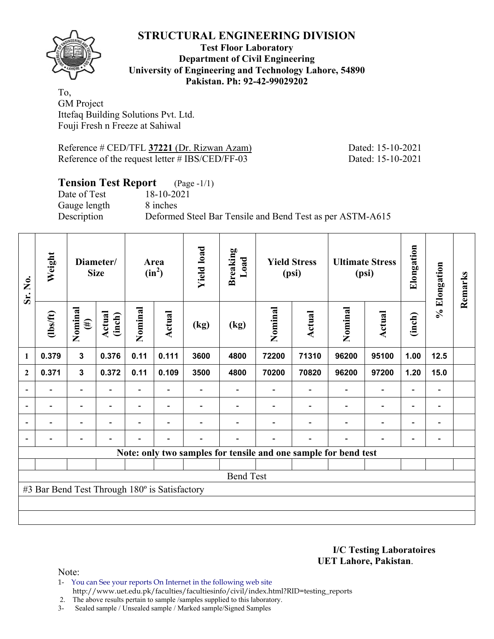

### **Test Floor Laboratory Department of Civil Engineering University of Engineering and Technology Lahore, 54890 Pakistan. Ph: 92-42-99029202**

To, GM Project Ittefaq Building Solutions Pvt. Ltd. Fouji Fresh n Freeze at Sahiwal

Reference # CED/TFL 37221 (Dr. Rizwan Azam) Dated: 15-10-2021 Reference of the request letter # IBS/CED/FF-03 Dated: 15-10-2021

### **Tension Test Report** (Page -1/1)

Date of Test 18-10-2021 Gauge length 8 inches

Description Deformed Steel Bar Tensile and Bend Test as per ASTM-A615

| Sr. No.        | Weight                                        | Diameter/<br><b>Size</b> |                          |         | Area<br>$(in^2)$         |      | <b>Breaking</b><br>Load |         | <b>Yield Stress</b><br>(psi)                                    |                          | <b>Ultimate Stress</b><br>(psi) | Elongation               | % Elongation                 | Remarks |
|----------------|-----------------------------------------------|--------------------------|--------------------------|---------|--------------------------|------|-------------------------|---------|-----------------------------------------------------------------|--------------------------|---------------------------------|--------------------------|------------------------------|---------|
|                | $\frac{2}{10}$                                | Nominal<br>$(\#)$        | Actual<br>(inch)         | Nominal | Actual                   | (kg) | (kg)                    | Nominal | Actual                                                          | Nominal                  | Actual                          | (inch)                   |                              |         |
| 1              | 0.379                                         | $\mathbf{3}$             | 0.376                    | 0.11    | 0.111                    | 3600 | 4800                    | 72200   | 71310                                                           | 96200                    | 95100                           | 1.00                     | 12.5                         |         |
| $\mathbf{2}$   | 0.371                                         | $\mathbf 3$              | 0.372                    | 0.11    | 0.109                    | 3500 | 4800                    | 70200   | 70820                                                           | 96200                    | 97200                           | 1.20                     | 15.0                         |         |
|                |                                               | $\overline{\phantom{0}}$ |                          |         |                          |      |                         |         |                                                                 |                          | $\overline{\phantom{0}}$        | $\overline{\phantom{0}}$ |                              |         |
| $\blacksquare$ | $\overline{\phantom{0}}$                      | $\blacksquare$           | $\overline{\phantom{0}}$ |         | $\blacksquare$           |      |                         |         |                                                                 | $\overline{\phantom{a}}$ | $\overline{\phantom{a}}$        | $\overline{\phantom{a}}$ | $\blacksquare$               |         |
| $\blacksquare$ |                                               | $\overline{\phantom{0}}$ | $\overline{\phantom{0}}$ |         | $\blacksquare$           |      |                         |         |                                                                 | ۰                        | $\overline{a}$                  | $\overline{\phantom{0}}$ | $\blacksquare$               |         |
|                | -                                             | $\overline{\phantom{0}}$ |                          |         | $\overline{\phantom{a}}$ | -    |                         |         | $\overline{\phantom{0}}$                                        | $\blacksquare$           | $\blacksquare$                  | $\overline{\phantom{a}}$ | $\qquad \qquad \blacksquare$ |         |
|                |                                               |                          |                          |         |                          |      |                         |         | Note: only two samples for tensile and one sample for bend test |                          |                                 |                          |                              |         |
|                |                                               |                          |                          |         |                          |      |                         |         |                                                                 |                          |                                 |                          |                              |         |
|                |                                               |                          |                          |         |                          |      | <b>Bend Test</b>        |         |                                                                 |                          |                                 |                          |                              |         |
|                | #3 Bar Bend Test Through 180° is Satisfactory |                          |                          |         |                          |      |                         |         |                                                                 |                          |                                 |                          |                              |         |
|                |                                               |                          |                          |         |                          |      |                         |         |                                                                 |                          |                                 |                          |                              |         |
|                |                                               |                          |                          |         |                          |      |                         |         |                                                                 |                          |                                 |                          |                              |         |

**I/C Testing Laboratoires UET Lahore, Pakistan**.

Note:

1- You can See your reports On Internet in the following web site http://www.uet.edu.pk/faculties/facultiesinfo/civil/index.html?RID=testing\_reports

2. The above results pertain to sample /samples supplied to this laboratory.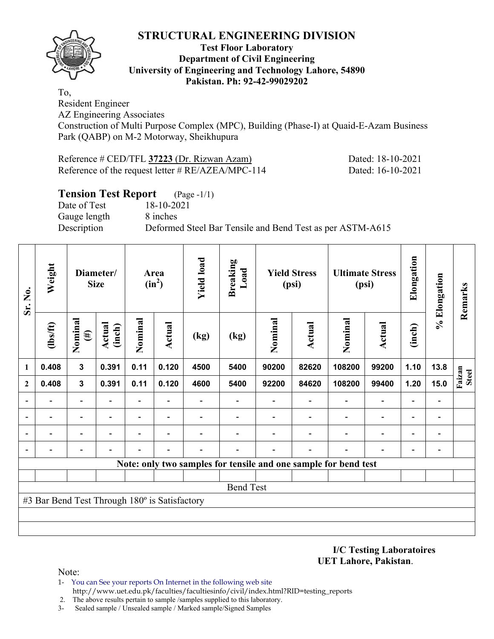

#### **Test Floor Laboratory Department of Civil Engineering University of Engineering and Technology Lahore, 54890 Pakistan. Ph: 92-42-99029202**

To, Resident Engineer

AZ Engineering Associates

Construction of Multi Purpose Complex (MPC), Building (Phase-I) at Quaid-E-Azam Business Park (QABP) on M-2 Motorway, Sheikhupura

| Reference # CED/TFL 37223 (Dr. Rizwan Azam)          | Dated: 18-10-2021 |
|------------------------------------------------------|-------------------|
| Reference of the request letter $\# RE/AZEA/MPC-114$ | Dated: 16-10-2021 |

### **Tension Test Report** (Page -1/1)

Date of Test 18-10-2021 Gauge length 8 inches

Description Deformed Steel Bar Tensile and Bend Test as per ASTM-A615

| Sr. No.      | Weight                                        | Diameter/<br><b>Size</b> |                  | Area<br>$(in^2)$         |                          | <b>Yield load</b> | <b>Breaking</b><br>Load  |         | <b>Yield Stress</b><br>(psi) |                                                                 | <b>Ultimate Stress</b><br>(psi) | Elongation               | % Elongation                 | Remarks                |
|--------------|-----------------------------------------------|--------------------------|------------------|--------------------------|--------------------------|-------------------|--------------------------|---------|------------------------------|-----------------------------------------------------------------|---------------------------------|--------------------------|------------------------------|------------------------|
|              | $\frac{2}{10}$                                | Nominal<br>$(\#)$        | Actual<br>(inch) | Nominal                  | Actual                   | (kg)              | (kg)                     | Nominal | <b>Actual</b>                | Nominal                                                         | <b>Actual</b>                   | (inch)                   |                              |                        |
| 1            | 0.408                                         | $\mathbf{3}$             | 0.391            | 0.11                     | 0.120                    | 4500              | 5400                     | 90200   | 82620                        | 108200                                                          | 99200                           | 1.10                     | 13.8                         |                        |
| $\mathbf{2}$ | 0.408                                         | $\mathbf{3}$             | 0.391            | 0.11                     | 0.120                    | 4600              | 5400                     | 92200   | 84620                        | 108200                                                          | 99400                           | 1.20                     | 15.0                         | Faizan<br><b>Steel</b> |
|              |                                               | $\overline{\phantom{0}}$ |                  | $\overline{\phantom{0}}$ | $\overline{\phantom{a}}$ |                   | $\overline{\phantom{0}}$ |         |                              |                                                                 | $\blacksquare$                  | $\overline{\phantom{0}}$ | $\qquad \qquad \blacksquare$ |                        |
|              |                                               | -                        |                  | -                        | $\overline{\phantom{a}}$ |                   |                          |         |                              |                                                                 | $\qquad \qquad \blacksquare$    | $\overline{\phantom{0}}$ | $\qquad \qquad$              |                        |
|              |                                               | $\overline{\phantom{0}}$ |                  | -                        |                          |                   |                          |         |                              |                                                                 |                                 | $\overline{\phantom{0}}$ | $\overline{\phantom{a}}$     |                        |
|              |                                               |                          |                  |                          |                          |                   |                          |         |                              |                                                                 |                                 |                          | $\overline{a}$               |                        |
|              |                                               |                          |                  |                          |                          |                   |                          |         |                              | Note: only two samples for tensile and one sample for bend test |                                 |                          |                              |                        |
|              |                                               |                          |                  |                          |                          |                   |                          |         |                              |                                                                 |                                 |                          |                              |                        |
|              |                                               |                          |                  |                          |                          |                   | <b>Bend Test</b>         |         |                              |                                                                 |                                 |                          |                              |                        |
|              | #3 Bar Bend Test Through 180° is Satisfactory |                          |                  |                          |                          |                   |                          |         |                              |                                                                 |                                 |                          |                              |                        |
|              |                                               |                          |                  |                          |                          |                   |                          |         |                              |                                                                 |                                 |                          |                              |                        |
|              |                                               |                          |                  |                          |                          |                   |                          |         |                              |                                                                 |                                 |                          |                              |                        |

**I/C Testing Laboratoires UET Lahore, Pakistan**.

- 1- You can See your reports On Internet in the following web site http://www.uet.edu.pk/faculties/facultiesinfo/civil/index.html?RID=testing\_reports
- 2. The above results pertain to sample /samples supplied to this laboratory.
- 3- Sealed sample / Unsealed sample / Marked sample/Signed Samples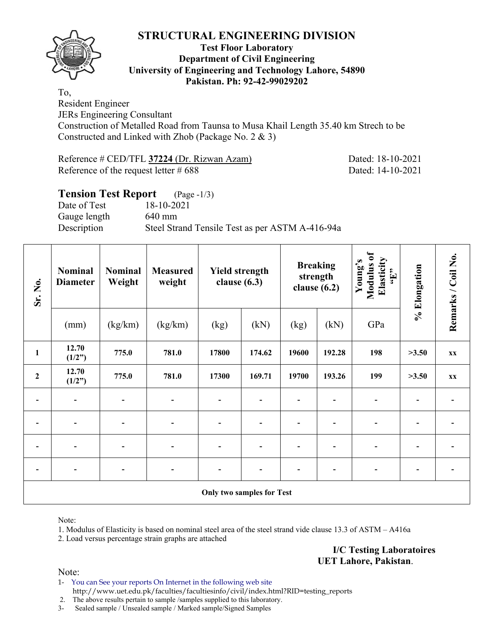

#### **Test Floor Laboratory Department of Civil Engineering University of Engineering and Technology Lahore, 54890 Pakistan. Ph: 92-42-99029202**

To, Resident Engineer JERs Engineering Consultant Construction of Metalled Road from Taunsa to Musa Khail Length 35.40 km Strech to be Constructed and Linked with Zhob (Package No. 2 & 3)

Reference # CED/TFL **37224** (Dr. Rizwan Azam) Dated: 18-10-2021 Reference of the request letter # 688 Dated: 14-10-2021

### **Tension Test Report** (Page -1/3) Date of Test 18-10-2021 Gauge length 640 mm Description Steel Strand Tensile Test as per ASTM A-416-94a

| Sr. No.        | <b>Nominal</b><br><b>Diameter</b> | <b>Nominal</b><br>Weight | <b>Measured</b><br>weight | <b>Yield strength</b><br>clause $(6.3)$ |                          | strength<br>clause $(6.2)$ | <b>Breaking</b> | Modulus of<br>Elasticity<br>Young's<br>$\mathbf{f}$ . | % Elongation | Remarks / Coil No. |
|----------------|-----------------------------------|--------------------------|---------------------------|-----------------------------------------|--------------------------|----------------------------|-----------------|-------------------------------------------------------|--------------|--------------------|
|                | (mm)                              | (kg/km)                  | (kg/km)                   | (kg)                                    | (kN)                     | (kg)                       | (kN)            | GPa                                                   |              |                    |
| $\mathbf{1}$   | 12.70<br>(1/2")                   | 775.0                    | 781.0                     | 17800                                   | 174.62                   | 19600                      | 192.28          | 198                                                   | >3.50        | XX                 |
| $\overline{2}$ | 12.70<br>(1/2")                   | 775.0                    | 781.0                     | 17300                                   | 169.71                   | 19700                      | 193.26          | 199                                                   | >3.50        | XX                 |
|                | $\overline{\phantom{a}}$          | $\overline{\phantom{a}}$ | $\overline{a}$            | $\blacksquare$                          | $\overline{\phantom{0}}$ |                            |                 | $\overline{\phantom{0}}$                              |              |                    |
|                | $\blacksquare$                    | $\blacksquare$           |                           |                                         |                          |                            |                 |                                                       |              |                    |
|                | $\overline{\phantom{a}}$          | $\overline{\phantom{a}}$ |                           |                                         |                          |                            |                 |                                                       |              |                    |
|                |                                   |                          |                           |                                         |                          |                            |                 |                                                       |              |                    |
|                |                                   |                          |                           | <b>Only two samples for Test</b>        |                          |                            |                 |                                                       |              |                    |

Note:

1. Modulus of Elasticity is based on nominal steel area of the steel strand vide clause 13.3 of ASTM – A416a

2. Load versus percentage strain graphs are attached

**I/C Testing Laboratoires UET Lahore, Pakistan**.

Note:

1- You can See your reports On Internet in the following web site http://www.uet.edu.pk/faculties/facultiesinfo/civil/index.html?RID=testing\_reports

2. The above results pertain to sample /samples supplied to this laboratory.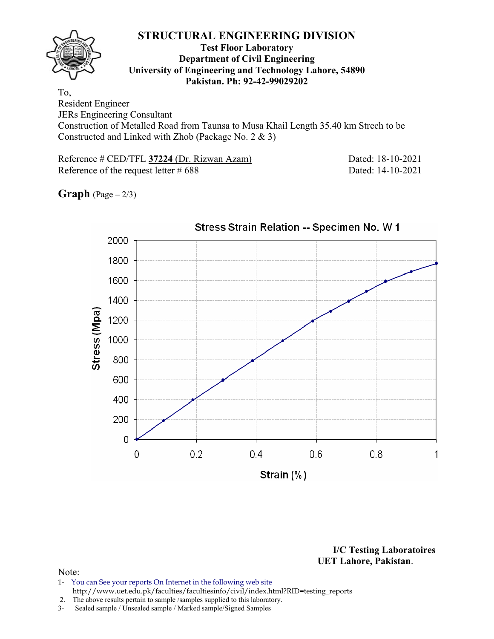

#### **Test Floor Laboratory Department of Civil Engineering University of Engineering and Technology Lahore, 54890 Pakistan. Ph: 92-42-99029202**

To, Resident Engineer JERs Engineering Consultant Construction of Metalled Road from Taunsa to Musa Khail Length 35.40 km Strech to be Constructed and Linked with Zhob (Package No. 2 & 3)

Reference # CED/TFL **37224** (Dr. Rizwan Azam) Dated: 18-10-2021 Reference of the request letter # 688 Dated: 14-10-2021

**Graph**  $(Page - 2/3)$ 



**I/C Testing Laboratoires UET Lahore, Pakistan**.

- 1- You can See your reports On Internet in the following web site http://www.uet.edu.pk/faculties/facultiesinfo/civil/index.html?RID=testing\_reports
- 2. The above results pertain to sample /samples supplied to this laboratory.
- 3- Sealed sample / Unsealed sample / Marked sample/Signed Samples